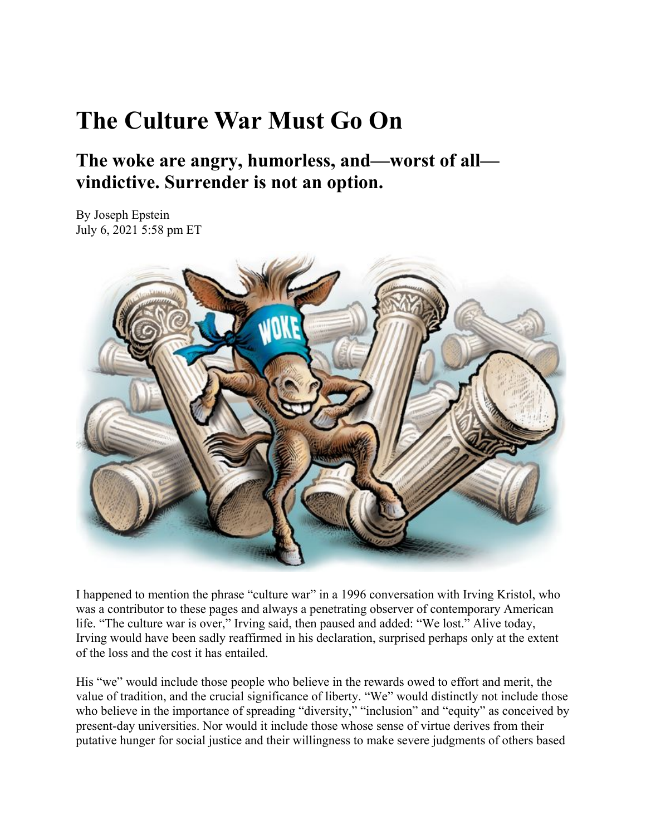## **The Culture War Must Go On**

## **The woke are angry, humorless, and—worst of all vindictive. Surrender is not an option.**

By Joseph Epstein July 6, 2021 5:58 pm ET



I happened to mention the phrase "culture war" in a 1996 conversation with Irving Kristol, who was a contributor to these pages and always a penetrating observer of contemporary American life. "The culture war is over," Irving said, then paused and added: "We lost." Alive today, Irving would have been sadly reaffirmed in his declaration, surprised perhaps only at the extent of the loss and the cost it has entailed.

His "we" would include those people who believe in the rewards owed to effort and merit, the value of tradition, and the crucial significance of liberty. "We" would distinctly not include those who believe in the importance of spreading "diversity," "inclusion" and "equity" as conceived by present-day universities. Nor would it include those whose sense of virtue derives from their putative hunger for social justice and their willingness to make severe judgments of others based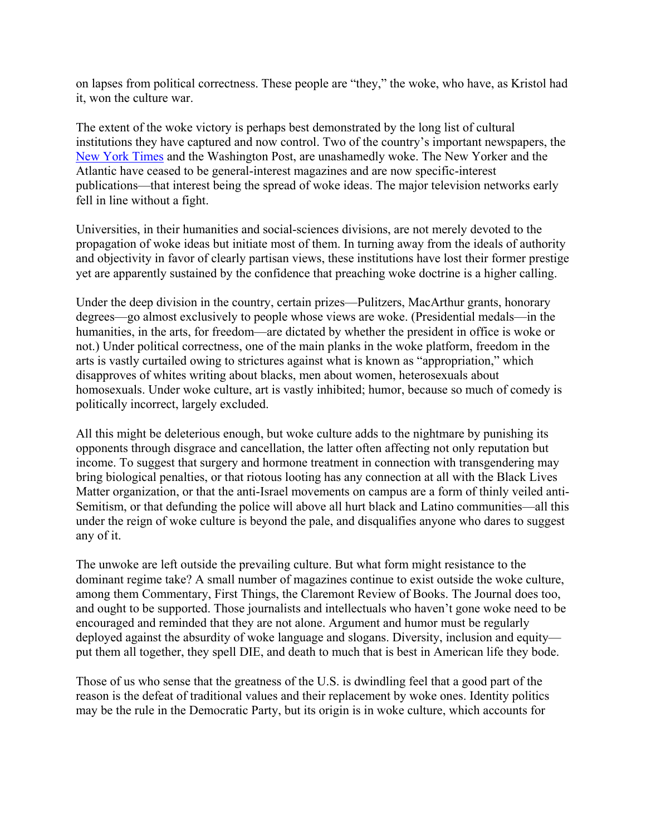on lapses from political correctness. These people are "they," the woke, who have, as Kristol had it, won the culture war.

The extent of the woke victory is perhaps best demonstrated by the long list of cultural institutions they have captured and now control. Two of the country's important newspapers, the [New York Times](https://www.wsj.com/market-data/quotes/NYT) and the Washington Post, are unashamedly woke. The New Yorker and the Atlantic have ceased to be general-interest magazines and are now specific-interest publications—that interest being the spread of woke ideas. The major television networks early fell in line without a fight.

Universities, in their humanities and social-sciences divisions, are not merely devoted to the propagation of woke ideas but initiate most of them. In turning away from the ideals of authority and objectivity in favor of clearly partisan views, these institutions have lost their former prestige yet are apparently sustained by the confidence that preaching woke doctrine is a higher calling.

Under the deep division in the country, certain prizes—Pulitzers, MacArthur grants, honorary degrees—go almost exclusively to people whose views are woke. (Presidential medals—in the humanities, in the arts, for freedom—are dictated by whether the president in office is woke or not.) Under political correctness, one of the main planks in the woke platform, freedom in the arts is vastly curtailed owing to strictures against what is known as "appropriation," which disapproves of whites writing about blacks, men about women, heterosexuals about homosexuals. Under woke culture, art is vastly inhibited; humor, because so much of comedy is politically incorrect, largely excluded.

All this might be deleterious enough, but woke culture adds to the nightmare by punishing its opponents through disgrace and cancellation, the latter often affecting not only reputation but income. To suggest that surgery and hormone treatment in connection with transgendering may bring biological penalties, or that riotous looting has any connection at all with the Black Lives Matter organization, or that the anti-Israel movements on campus are a form of thinly veiled anti-Semitism, or that defunding the police will above all hurt black and Latino communities—all this under the reign of woke culture is beyond the pale, and disqualifies anyone who dares to suggest any of it.

The unwoke are left outside the prevailing culture. But what form might resistance to the dominant regime take? A small number of magazines continue to exist outside the woke culture, among them Commentary, First Things, the Claremont Review of Books. The Journal does too, and ought to be supported. Those journalists and intellectuals who haven't gone woke need to be encouraged and reminded that they are not alone. Argument and humor must be regularly deployed against the absurdity of woke language and slogans. Diversity, inclusion and equity put them all together, they spell DIE, and death to much that is best in American life they bode.

Those of us who sense that the greatness of the U.S. is dwindling feel that a good part of the reason is the defeat of traditional values and their replacement by woke ones. Identity politics may be the rule in the Democratic Party, but its origin is in woke culture, which accounts for